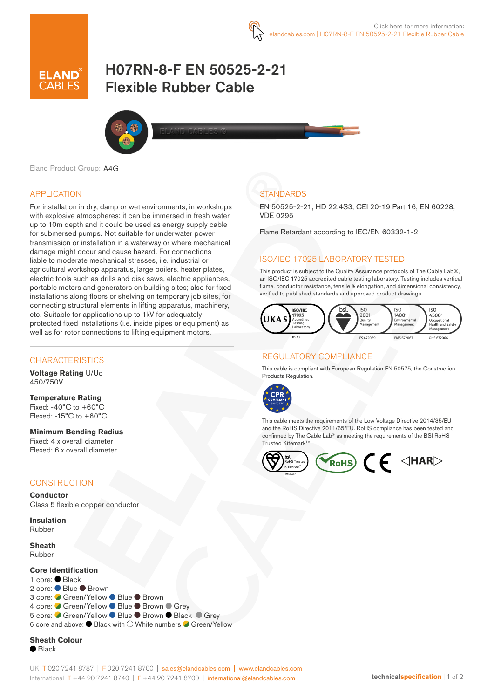

# H07RN-8-F EN 50525-2-21 Flexible Rubber Cable



Eland Product Group: A4G

## APPLICATION

For installation in dry, damp or wet environments, in workshops with explosive atmospheres: it can be immersed in fresh water up to 10m depth and it could be used as energy supply cable for submersed pumps. Not suitable for underwater power transmission or installation in a waterway or where mechanical damage might occur and cause hazard. For connections liable to moderate mechanical stresses, i.e. industrial or agricultural workshop apparatus, large boilers, heater plates, electric tools such as drills and disk saws, electric appliances, portable motors and generators on building sites; also for fixed installations along floors or shelving on temporary job sites, for connecting structural elements in lifting apparatus, machinery, etc. Suitable for applications up to 1kV for adequately protected fixed installations (i.e. inside pipes or equipment) as well as for rotor connections to lifting equipment motors.

## **CHARACTERISTICS**

**Voltage Rating** U/Uo 450/750V

**Temperature Rating** Fixed: -40°C to +60°C Flexed: -15°C to +60°C

**Minimum Bending Radius**  Fixed: 4 x overall diameter Flexed: 6 x overall diameter

## **CONSTRUCTION**

**Conductor** Class 5 flexible copper conductor

**Insulation** Rubber

**Sheath** Rubber

#### **Core Identification**

1 core: Black 2 core: ● Blue ● Brown 3 core: ● Green/Yellow ● Blue ● Brown 4 core: ● Green/Yellow ● Blue ● Brown ● Grev 5 core: Green/Yellow Blue Brown Black Grey 6 core and above:  $\bullet$  Black with  $\bigcirc$  White numbers  $\bullet$  Green/Yellow

**Sheath Colour**  $\bullet$  Black

# **STANDARDS**

EN 50525-2-21, HD 22.4S3, CEI 20-19 Part 16, EN 60228, VDE 0295

Flame Retardant according to IEC/EN 60332-1-2

## ISO/IEC 17025 LABORATORY TESTED

This product is subject to the Quality Assurance protocols of The Cable Lab®, an ISO/IEC 17025 accredited cable testing laboratory. Testing includes vertical flame, conductor resistance, tensile & elongation, and dimensional consistency, verified to published standards and approved product drawings.



## REGULATORY COMPLIANCE

This cable is compliant with European Regulation EN 50575, the Construction Products Regulation.



This cable meets the requirements of the Low Voltage Directive 2014/35/EU and the RoHS Directive 2011/65/EU. RoHS compliance has been tested and confirmed by The Cable Lab® as meeting the requirements of the BSI RoHS Trusted Kitemark™.